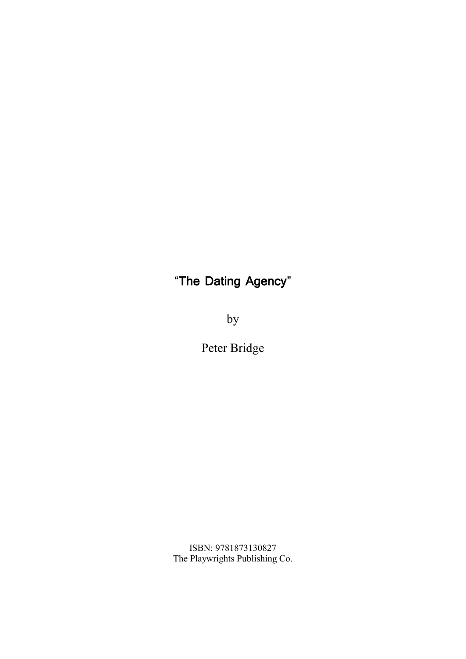# "**The Dating Agency**"

by

Peter Bridge

ISBN: 9781873130827 The Playwrights Publishing Co.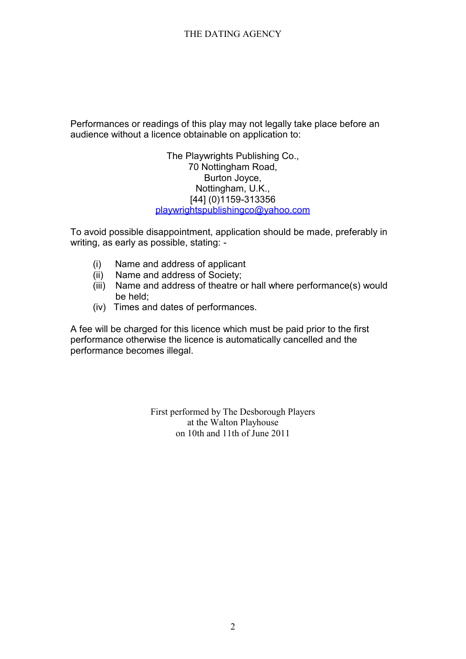Performances or readings of this play may not legally take place before an audience without a licence obtainable on application to:

> The Playwrights Publishing Co., 70 Nottingham Road, Burton Joyce, Nottingham, U.K., [44] (0)1159-313356 playwrightspublishingco@yahoo.com

To avoid possible disappointment, application should be made, preferably in writing, as early as possible, stating: -

- (i) Name and address of applicant
- (ii) Name and address of Society;
- (iii) Name and address of theatre or hall where performance(s) would be held;
- (iv) Times and dates of performances.

A fee will be charged for this licence which must be paid prior to the first performance otherwise the licence is automatically cancelled and the performance becomes illegal.

> First performed by The Desborough Players at the Walton Playhouse on 10th and 11th of June 2011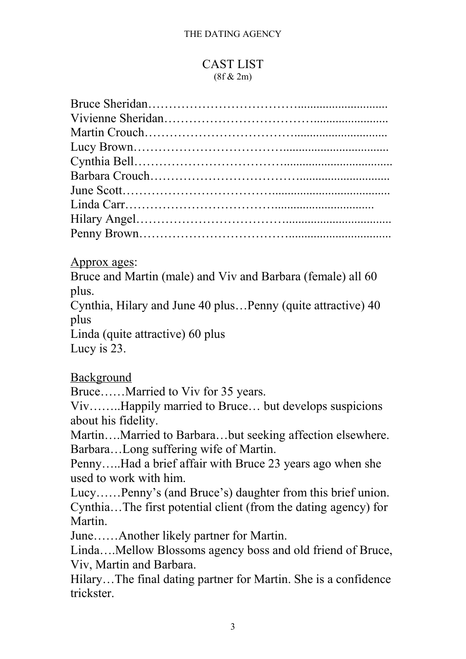# CAST LIST  $(8f & 2m)$

Approx ages:

Bruce and Martin (male) and Viv and Barbara (female) all 60 plus.

Cynthia, Hilary and June 40 plus…Penny (quite attractive) 40 plus

Linda (quite attractive) 60 plus

Lucy is 23.

Background

Bruce……Married to Viv for 35 years.

Viv……..Happily married to Bruce… but develops suspicions about his fidelity.

Martin….Married to Barbara…but seeking affection elsewhere. Barbara…Long suffering wife of Martin.

Penny…..Had a brief affair with Bruce 23 years ago when she used to work with him.

Lucy……Penny's (and Bruce's) daughter from this brief union. Cynthia…The first potential client (from the dating agency) for Martin.

June……Another likely partner for Martin.

Linda….Mellow Blossoms agency boss and old friend of Bruce, Viv, Martin and Barbara.

Hilary…The final dating partner for Martin. She is a confidence trickster.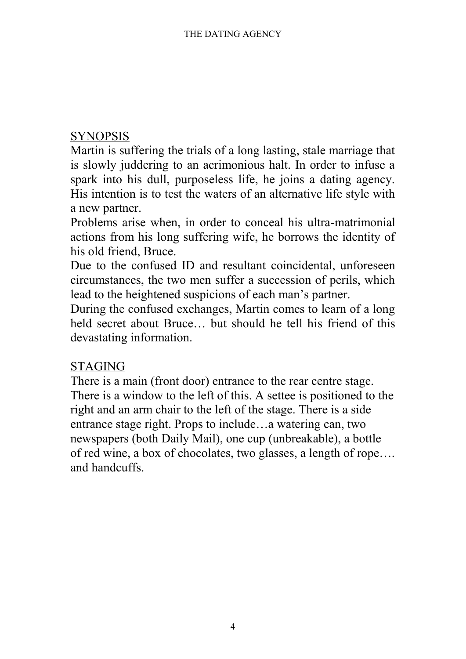# **SYNOPSIS**

Martin is suffering the trials of a long lasting, stale marriage that is slowly juddering to an acrimonious halt. In order to infuse a spark into his dull, purposeless life, he joins a dating agency. His intention is to test the waters of an alternative life style with a new partner.

Problems arise when, in order to conceal his ultra-matrimonial actions from his long suffering wife, he borrows the identity of his old friend, Bruce.

Due to the confused ID and resultant coincidental, unforeseen circumstances, the two men suffer a succession of perils, which lead to the heightened suspicions of each man's partner.

During the confused exchanges, Martin comes to learn of a long held secret about Bruce… but should he tell his friend of this devastating information.

# STAGING

There is a main (front door) entrance to the rear centre stage. There is a window to the left of this. A settee is positioned to the right and an arm chair to the left of the stage. There is a side entrance stage right. Props to include…a watering can, two newspapers (both Daily Mail), one cup (unbreakable), a bottle of red wine, a box of chocolates, two glasses, a length of rope…. and handcuffs.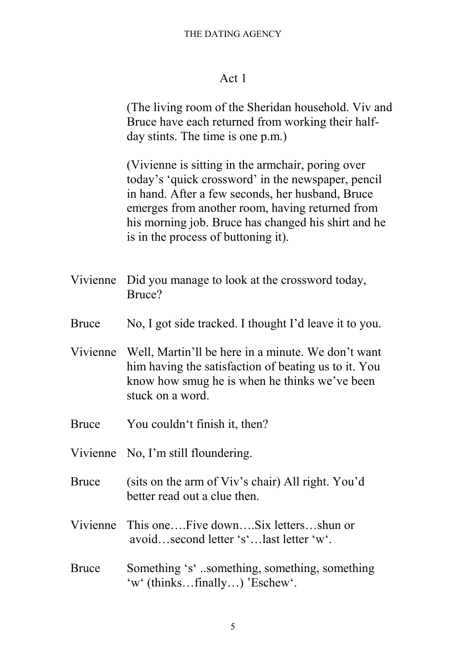# Act 1

(The living room of the Sheridan household. Viv and Bruce have each returned from working their half day stints. The time is one p.m.)

(Vivienne is sitting in the armchair, poring over today's 'quick crossword' in the newspaper, pencil in hand. After a few seconds, her husband, Bruce emerges from another room, having returned from his morning job. Bruce has changed his shirt and he is in the process of buttoning it).

- Vivienne Did you manage to look at the crossword today, Bruce?
- Bruce No, I got side tracked. I thought I'd leave it to you.
- Vivienne Well, Martin'll be here in a minute. We don't want him having the satisfaction of beating us to it. You know how smug he is when he thinks we've been stuck on a word.
- Bruce You couldn't finish it, then?
- Vivienne No, I'm still floundering.
- Bruce (sits on the arm of Viv's chair) All right. You'd better read out a clue then.
- Vivienne This one….Five down….Six letters…shun or avoid…second letter 's'…last letter 'w'.
- Bruce Something 's' ..something, something, something 'w' (thinks…finally…) 'Eschew'.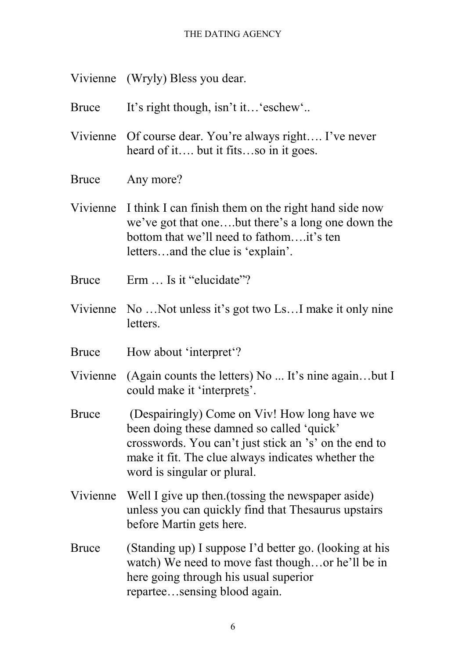- Vivienne (Wryly) Bless you dear.
- Bruce It's right though, isn't it… 'eschew'..
- Vivienne Of course dear. You're always right…. I've never heard of it…. but it fits…so in it goes.
- Bruce Any more?
- Vivienne I think I can finish them on the right hand side now we've got that one….but there's a long one down the bottom that we'll need to fathom….it's ten letters…and the clue is 'explain'.
- Bruce Erm … Is it "elucidate"?
- Vivienne No …Not unless it's got two Ls…I make it only nine letters.
- Bruce How about 'interpret'?
- Vivienne (Again counts the letters) No ... It's nine again…but I could make it 'interprets'.
- Bruce (Despairingly) Come on Viv! How long have we been doing these damned so called 'quick' crosswords. You can't just stick an 's' on the end to make it fit. The clue always indicates whether the word is singular or plural.
- Vivienne Well I give up then.(tossing the newspaper aside) unless you can quickly find that Thesaurus upstairs before Martin gets here.
- Bruce (Standing up) I suppose I'd better go. (looking at his watch) We need to move fast though…or he'll be in here going through his usual superior repartee…sensing blood again.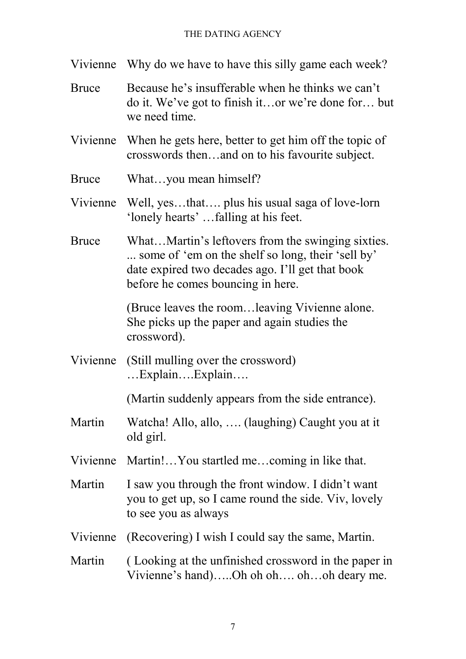| Vivienne     | Why do we have to have this silly game each week?                                                                                                                                               |
|--------------|-------------------------------------------------------------------------------------------------------------------------------------------------------------------------------------------------|
| <b>Bruce</b> | Because he's insufferable when he thinks we can't<br>do it. We've got to finish itor we're done for but<br>we need time.                                                                        |
| Vivienne     | When he gets here, better to get him off the topic of<br>crosswords thenand on to his favourite subject.                                                                                        |
| <b>Bruce</b> | Whatyou mean himself?                                                                                                                                                                           |
|              | Vivienne Well, yesthat plus his usual saga of love-lorn<br>'lonely hearts'falling at his feet.                                                                                                  |
| <b>Bruce</b> | WhatMartin's leftovers from the swinging sixties.<br>some of 'em on the shelf so long, their 'sell by'<br>date expired two decades ago. I'll get that book<br>before he comes bouncing in here. |
|              | (Bruce leaves the room leaving Vivienne alone.)<br>She picks up the paper and again studies the<br>crossword).                                                                                  |
| Vivienne     | (Still mulling over the crossword)<br>$\dots$ Explain $\dots$ Explain $\dots$                                                                                                                   |
|              | (Martin suddenly appears from the side entrance).                                                                                                                                               |
| Martin       | Watcha! Allo, allo,  (laughing) Caught you at it<br>old girl.                                                                                                                                   |
|              | Vivienne Martin!You startled mecoming in like that.                                                                                                                                             |
| Martin       | I saw you through the front window. I didn't want<br>you to get up, so I came round the side. Viv, lovely<br>to see you as always                                                               |
| Vivienne     | (Recovering) I wish I could say the same, Martin.                                                                                                                                               |
| Martin       | (Looking at the unfinished crossword in the paper in<br>Vivienne's hand)Oh oh oh ohoh deary me.                                                                                                 |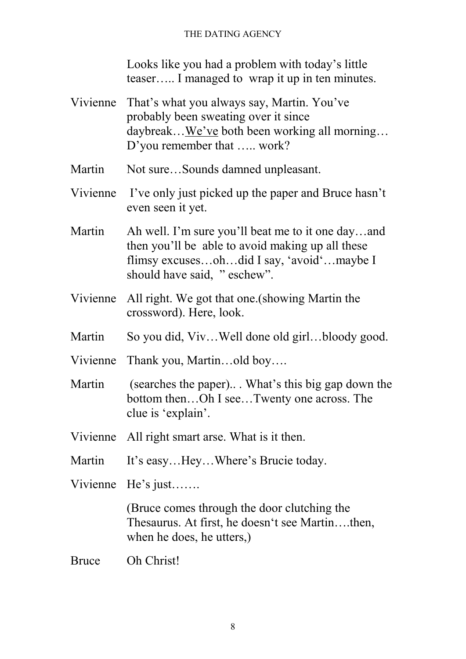Looks like you had a problem with today's little teaser….. I managed to wrap it up in ten minutes.

- Vivienne That's what you always say, Martin. You've probably been sweating over it since daybreak…We've both been working all morning… D'you remember that ….. work?
- Martin Not sure...Sounds damned unpleasant.
- Vivienne I've only just picked up the paper and Bruce hasn't even seen it yet.
- Martin Ah well. I'm sure you'll beat me to it one day...and then you'll be able to avoid making up all these flimsy excuses…oh…did I say, 'avoid'…maybe I should have said, " eschew".
- Vivienne All right. We got that one.(showing Martin the crossword). Here, look.
- Martin So you did, Viv...Well done old girl...bloody good.
- Vivienne Thank you, Martin…old boy….
- Martin (searches the paper)... What's this big gap down the bottom then…Oh I see…Twenty one across. The clue is 'explain'.
- Vivienne All right smart arse. What is it then.
- Martin It's easy...Hey...Where's Brucie today.
- Vivienne He's just…….

(Bruce comes through the door clutching the Thesaurus. At first, he doesn't see Martin….then, when he does, he utters,)

Bruce Oh Christ!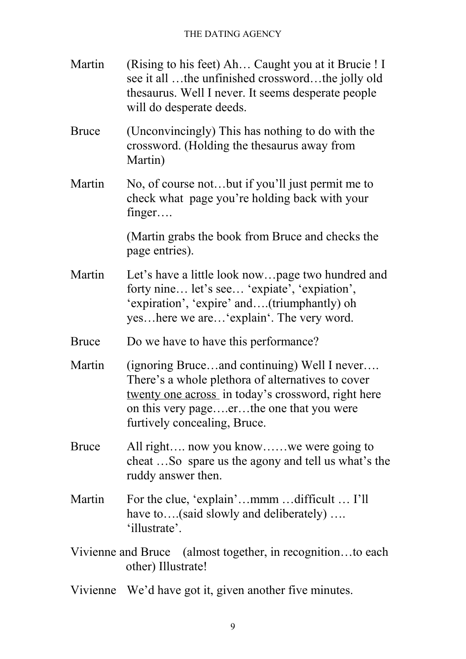| Martin             | (Rising to his feet) Ah Caught you at it Brucie ! I<br>see it all the unfinished crosswordthe jolly old<br>the saurus. Well I never. It seems desperate people<br>will do desperate deeds.                                         |
|--------------------|------------------------------------------------------------------------------------------------------------------------------------------------------------------------------------------------------------------------------------|
| <b>Bruce</b>       | (Unconvincingly) This has nothing to do with the<br>crossword. (Holding the thesaurus away from<br>Martin)                                                                                                                         |
| Martin             | No, of course notbut if you'll just permit me to<br>check what page you're holding back with your<br>finger                                                                                                                        |
|                    | (Martin grabs the book from Bruce and checks the<br>page entries).                                                                                                                                                                 |
| Martin             | Let's have a little look nowpage two hundred and<br>forty nine let's see 'expiate', 'expiation',<br>'expiration', 'expire' and(triumphantly) oh<br>yeshere we are'explain'. The very word.                                         |
| <b>Bruce</b>       | Do we have to have this performance?                                                                                                                                                                                               |
| Martin             | (ignoring Bruceand continuing) Well I never<br>There's a whole plethora of alternatives to cover<br>twenty one across in today's crossword, right here<br>on this very pageerthe one that you were<br>furtively concealing, Bruce. |
| <b>Bruce</b>       | All right now you knowwe were going to<br>cheat So spare us the agony and tell us what's the<br>ruddy answer then.                                                                                                                 |
| Martin             | For the clue, 'explain'mmm difficult  I'll<br>have to(said slowly and deliberately)<br>'illustrate'.                                                                                                                               |
| Vivienne and Bruce | (almost together, in recognitionto each)<br>other) Illustrate!                                                                                                                                                                     |
|                    | Vivienne We'd have got it, given another five minutes.                                                                                                                                                                             |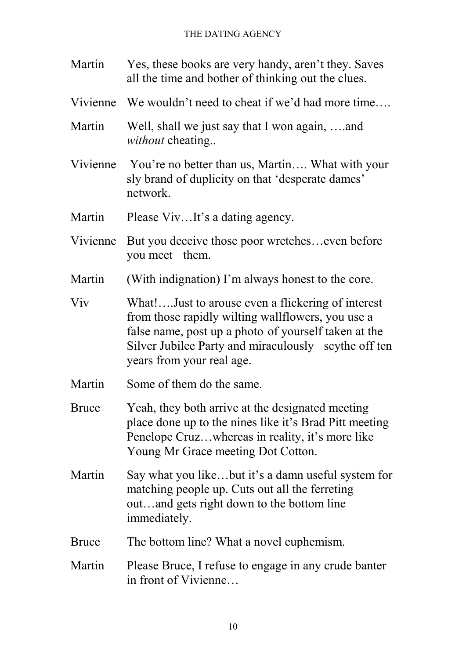| Martin       | Yes, these books are very handy, aren't they. Saves<br>all the time and bother of thinking out the clues.                                                                                                                                           |
|--------------|-----------------------------------------------------------------------------------------------------------------------------------------------------------------------------------------------------------------------------------------------------|
|              | Vivienne We wouldn't need to cheat if we'd had more time                                                                                                                                                                                            |
| Martin       | Well, shall we just say that I won again, and<br><i>without</i> cheating                                                                                                                                                                            |
| Vivienne     | You're no better than us, Martin What with your<br>sly brand of duplicity on that 'desperate dames'<br>network.                                                                                                                                     |
| Martin       | Please VivIt's a dating agency.                                                                                                                                                                                                                     |
| Vivienne     | But you deceive those poor wretcheseven before<br>you meet them.                                                                                                                                                                                    |
| Martin       | (With indignation) I'm always honest to the core.                                                                                                                                                                                                   |
| Viv          | What!Just to arouse even a flickering of interest<br>from those rapidly wilting wallflowers, you use a<br>false name, post up a photo of yourself taken at the<br>Silver Jubilee Party and miraculously scythe off ten<br>years from your real age. |
| Martin       | Some of them do the same.                                                                                                                                                                                                                           |
| Bruce        | Yeah, they both arrive at the designated meeting<br>place done up to the nines like it's Brad Pitt meeting<br>Penelope Cruzwhereas in reality, it's more like<br>Young Mr Grace meeting Dot Cotton.                                                 |
| Martin       | Say what you likebut it's a damn useful system for<br>matching people up. Cuts out all the ferreting<br>outand gets right down to the bottom line<br>immediately.                                                                                   |
| <b>Bruce</b> | The bottom line? What a novel euphemism.                                                                                                                                                                                                            |
| Martin       | Please Bruce, I refuse to engage in any crude banter<br>in front of Vivienne                                                                                                                                                                        |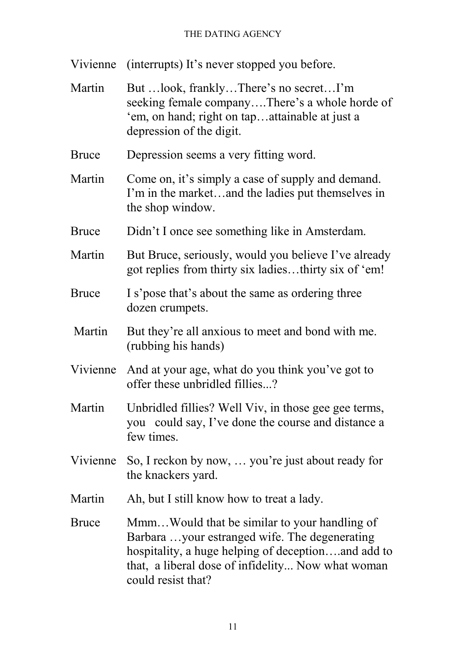Vivienne (interrupts) It's never stopped you before.

Martin But …look, frankly...There's no secret...I'm seeking female company….There's a whole horde of 'em, on hand; right on tap…attainable at just a depression of the digit. Bruce Depression seems a very fitting word. Martin Come on, it's simply a case of supply and demand. I'm in the market…and the ladies put themselves in the shop window. Bruce Didn't I once see something like in Amsterdam. Martin But Bruce, seriously, would you believe I've already got replies from thirty six ladies…thirty six of 'em! Bruce I s'pose that's about the same as ordering three dozen crumpets. Martin But they're all anxious to meet and bond with me. (rubbing his hands) Vivienne And at your age, what do you think you've got to offer these unbridled fillies...? Martin Unbridled fillies? Well Viv, in those gee gee terms, you could say, I've done the course and distance a few times. Vivienne So, I reckon by now, … you're just about ready for the knackers yard. Martin Ah, but I still know how to treat a lady. Bruce Mmm…Would that be similar to your handling of Barbara …your estranged wife. The degenerating hospitality, a huge helping of deception….and add to that, a liberal dose of infidelity... Now what woman

could resist that?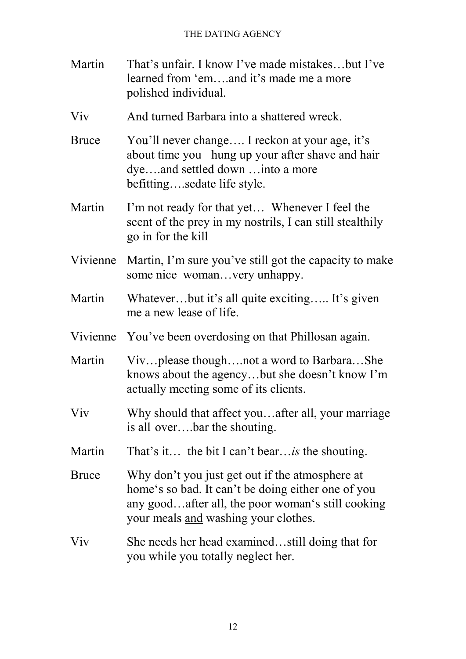Martin That's unfair. I know I've made mistakes…but I've learned from 'em….and it's made me a more polished individual. Viv And turned Barbara into a shattered wreck. Bruce You'll never change…. I reckon at your age, it's about time you hung up your after shave and hair dye….and settled down …into a more befitting….sedate life style. Martin I'm not ready for that yet... Whenever I feel the scent of the prey in my nostrils, I can still stealthily go in for the kill Vivienne Martin, I'm sure you've still got the capacity to make some nice woman…very unhappy. Martin Whatever...but it's all quite exciting..... It's given me a new lease of life. Vivienne You've been overdosing on that Phillosan again. Martin Viv…please though….not a word to Barbara…She knows about the agency…but she doesn't know I'm actually meeting some of its clients. Viv Why should that affect you…after all, your marriage is all over….bar the shouting. Martin That's it… the bit I can't bear…*is* the shouting. Bruce Why don't you just get out if the atmosphere at home's so bad. It can't be doing either one of you any good…after all, the poor woman's still cooking your meals and washing your clothes. Viv She needs her head examined…still doing that for you while you totally neglect her.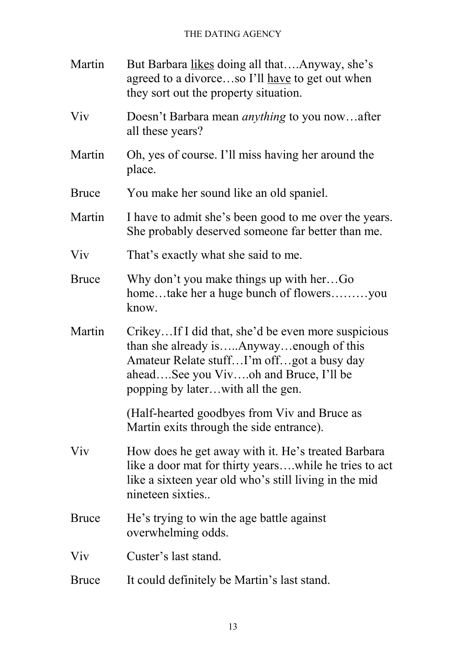| Martin       | But Barbara likes doing all thatAnyway, she's<br>agreed to a divorceso I'll <u>have</u> to get out when<br>they sort out the property situation.                                                                         |
|--------------|--------------------------------------------------------------------------------------------------------------------------------------------------------------------------------------------------------------------------|
| Viv          | Doesn't Barbara mean <i>anything</i> to you nowafter<br>all these years?                                                                                                                                                 |
| Martin       | Oh, yes of course. I'll miss having her around the<br>place.                                                                                                                                                             |
| <b>Bruce</b> | You make her sound like an old spaniel.                                                                                                                                                                                  |
| Martin       | I have to admit she's been good to me over the years.<br>She probably deserved someone far better than me.                                                                                                               |
| Viv          | That's exactly what she said to me.                                                                                                                                                                                      |
| <b>Bruce</b> | Why don't you make things up with herGo<br>hometake her a huge bunch of flowersyou<br>know.                                                                                                                              |
| Martin       | CrikeyIf I did that, she'd be even more suspicious<br>than she already isAnywayenough of this<br>Amateur Relate stuffI'm offgot a busy day<br>aheadSee you Vivoh and Bruce, I'll be<br>popping by laterwith all the gen. |
|              | (Half-hearted goodbyes from Viv and Bruce as<br>Martin exits through the side entrance).                                                                                                                                 |
| <b>V</b> iv  | How does he get away with it. He's treated Barbara<br>like a door mat for thirty yearswhile he tries to act<br>like a sixteen year old who's still living in the mid<br>nineteen sixties                                 |
| <b>Bruce</b> | He's trying to win the age battle against<br>overwhelming odds.                                                                                                                                                          |
| Viv          | Custer's last stand.                                                                                                                                                                                                     |
| <b>Bruce</b> | It could definitely be Martin's last stand.                                                                                                                                                                              |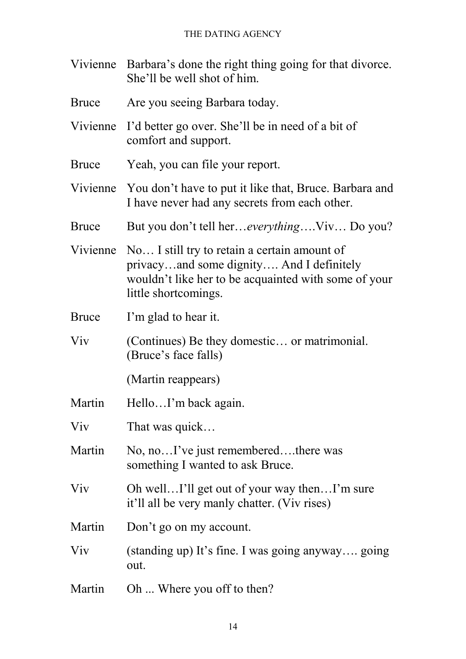| Vivienne Barbara's done the right thing going for that divorce. |
|-----------------------------------------------------------------|
| She'll be well shot of him.                                     |

- Bruce Are you seeing Barbara today.
- Vivienne I'd better go over. She'll be in need of a bit of comfort and support.
- Bruce Yeah, you can file your report.
- Vivienne You don't have to put it like that, Bruce. Barbara and I have never had any secrets from each other.
- Bruce But you don't tell her…*everything*….Viv… Do you?
- Vivienne No… I still try to retain a certain amount of privacy…and some dignity…. And I definitely wouldn't like her to be acquainted with some of your little shortcomings.
- Bruce I'm glad to hear it.
- Viv (Continues) Be they domestic… or matrimonial. (Bruce's face falls)
	- (Martin reappears)
- Martin Hello...I'm back again.
- Viv That was quick...
- Martin No, no...<sup>T</sup> ve just remembered....there was something I wanted to ask Bruce.
- Viv Oh well…I'll get out of your way then…I'm sure it'll all be very manly chatter. (Viv rises)
- Martin Don't go on my account.
- Viv (standing up) It's fine. I was going anyway…. going out.
- Martin Oh ... Where you off to then?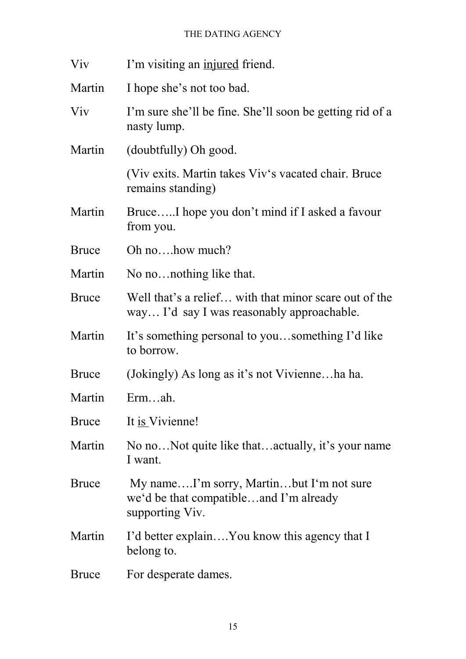| Viv          | I'm visiting an injured friend.                                                                       |
|--------------|-------------------------------------------------------------------------------------------------------|
| Martin       | I hope she's not too bad.                                                                             |
| Viv          | I'm sure she'll be fine. She'll soon be getting rid of a<br>nasty lump.                               |
| Martin       | (doubtfully) Oh good.                                                                                 |
|              | (Viv exits. Martin takes Viv's vacated chair. Bruce)<br>remains standing)                             |
| Martin       | BruceI hope you don't mind if I asked a favour<br>from you.                                           |
| <b>Bruce</b> | Oh nohow much?                                                                                        |
| Martin       | No no nothing like that.                                                                              |
| <b>Bruce</b> | Well that's a relief with that minor scare out of the<br>way I'd say I was reasonably approachable.   |
| Martin       | It's something personal to yousomething I'd like<br>to borrow.                                        |
| <b>Bruce</b> | (Jokingly) As long as it's not Vivienneha ha.                                                         |
| Martin       | Ermah.                                                                                                |
| <b>Bruce</b> | It is Vivienne!                                                                                       |
| Martin       | No noNot quite like thatactually, it's your name<br>I want.                                           |
| <b>Bruce</b> | My nameI'm sorry, Martinbut I'm not sure<br>we'd be that compatibleand I'm already<br>supporting Viv. |
| Martin       | I'd better explainYou know this agency that I<br>belong to.                                           |
| <b>Bruce</b> | For desperate dames.                                                                                  |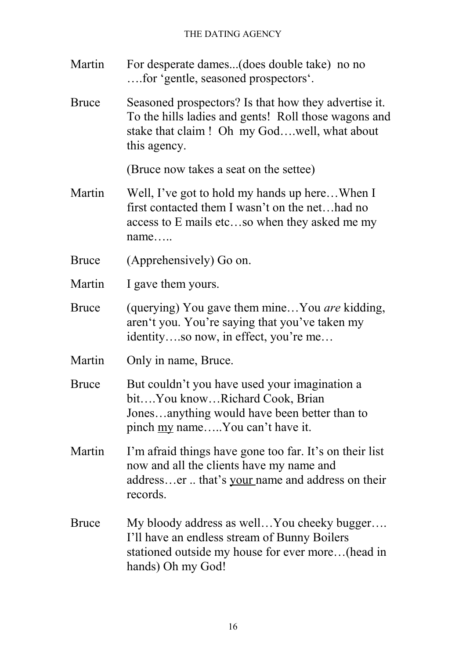- Martin For desperate dames...(does double take) no no ….for 'gentle, seasoned prospectors'.
- Bruce Seasoned prospectors? Is that how they advertise it. To the hills ladies and gents! Roll those wagons and stake that claim ! Oh my God….well, what about this agency.

(Bruce now takes a seat on the settee)

- Martin Well, I've got to hold my hands up here... When I first contacted them I wasn't on the net…had no access to E mails etc…so when they asked me my name…..
- Bruce (Apprehensively) Go on.
- Martin I gave them yours.
- Bruce (querying) You gave them mine…You *are* kidding, aren't you. You're saying that you've taken my identity….so now, in effect, you're me…
- Martin Only in name, Bruce.
- Bruce But couldn't you have used your imagination a bit….You know…Richard Cook, Brian Jones…anything would have been better than to pinch my name…..You can't have it.
- Martin I'm afraid things have gone too far. It's on their list now and all the clients have my name and address…er .. that's your name and address on their records.
- Bruce My bloody address as well...You cheeky bugger.... I'll have an endless stream of Bunny Boilers stationed outside my house for ever more…(head in hands) Oh my God!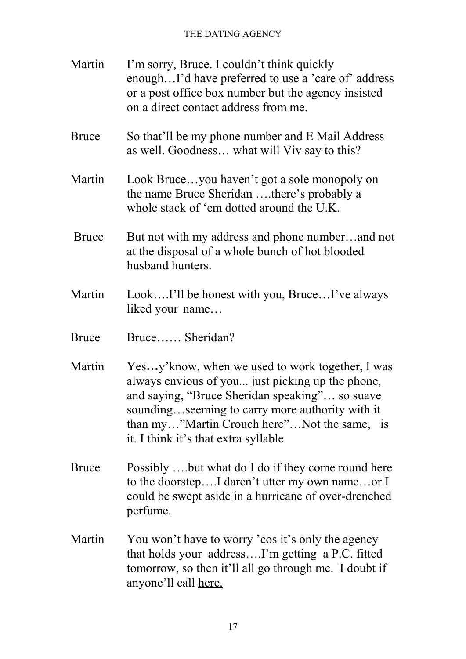| Martin       | I'm sorry, Bruce. I couldn't think quickly<br>enoughI'd have preferred to use a 'care of' address<br>or a post office box number but the agency insisted<br>on a direct contact address from me.                                                                                                 |
|--------------|--------------------------------------------------------------------------------------------------------------------------------------------------------------------------------------------------------------------------------------------------------------------------------------------------|
| <b>Bruce</b> | So that'll be my phone number and E Mail Address<br>as well. Goodness what will Viv say to this?                                                                                                                                                                                                 |
| Martin       | Look Bruceyou haven't got a sole monopoly on<br>the name Bruce Sheridan there's probably a<br>whole stack of 'em dotted around the U.K.                                                                                                                                                          |
| <b>Bruce</b> | But not with my address and phone numberand not<br>at the disposal of a whole bunch of hot blooded<br>husband hunters.                                                                                                                                                                           |
| Martin       | LookI'll be honest with you, BruceI've always<br>liked your name                                                                                                                                                                                                                                 |
| <b>Bruce</b> | Bruce Sheridan?                                                                                                                                                                                                                                                                                  |
| Martin       | Yesy' know, when we used to work together, I was<br>always envious of you just picking up the phone,<br>and saying, "Bruce Sheridan speaking" so suave<br>soundingseeming to carry more authority with it<br>than my"Martin Crouch here"Not the same, is<br>it. I think it's that extra syllable |
| Bruce        | Possibly but what do I do if they come round here<br>to the doorstepI daren't utter my own nameor I<br>could be swept aside in a hurricane of over-drenched<br>perfume.                                                                                                                          |
| Martin       | You won't have to worry 'cos it's only the agency<br>that holds your addressI'm getting a P.C. fitted<br>tomorrow, so then it'll all go through me. I doubt if<br>anyone'll call here.                                                                                                           |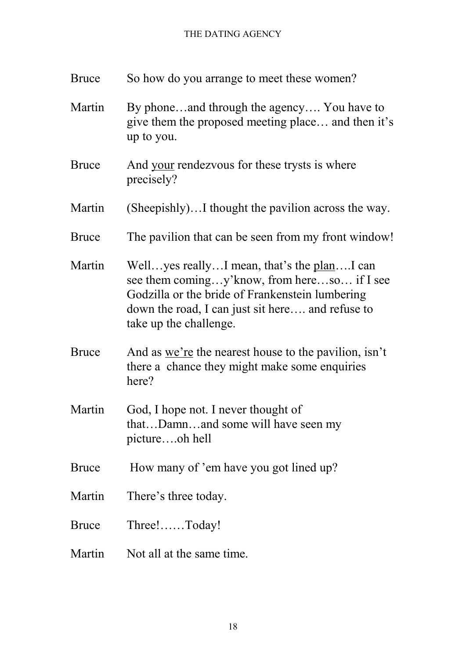| <b>Bruce</b> | So how do you arrange to meet these women?                                                                                                                                                                                            |
|--------------|---------------------------------------------------------------------------------------------------------------------------------------------------------------------------------------------------------------------------------------|
| Martin       | By phoneand through the agency You have to<br>give them the proposed meeting place and then it's<br>up to you.                                                                                                                        |
| <b>Bruce</b> | And your rendezvous for these trysts is where<br>precisely?                                                                                                                                                                           |
| Martin       | (Sheepishly)I thought the pavilion across the way.                                                                                                                                                                                    |
| <b>Bruce</b> | The pavilion that can be seen from my front window!                                                                                                                                                                                   |
| Martin       | Well yes really I mean, that's the <u>plan</u> I can<br>see them comingy' know, from hereso if I see<br>Godzilla or the bride of Frankenstein lumbering<br>down the road, I can just sit here and refuse to<br>take up the challenge. |
| <b>Bruce</b> | And as we're the nearest house to the pavilion, isn't<br>there a chance they might make some enquiries<br>here?                                                                                                                       |
| Martin       | God, I hope not. I never thought of<br>thatDamnand some will have seen my<br>pictureoh hell                                                                                                                                           |
| <b>Bruce</b> | How many of 'em have you got lined up?                                                                                                                                                                                                |
| Martin       | There's three today.                                                                                                                                                                                                                  |
| <b>Bruce</b> | $Three!$ $Today!$                                                                                                                                                                                                                     |
| Martin       | Not all at the same time.                                                                                                                                                                                                             |